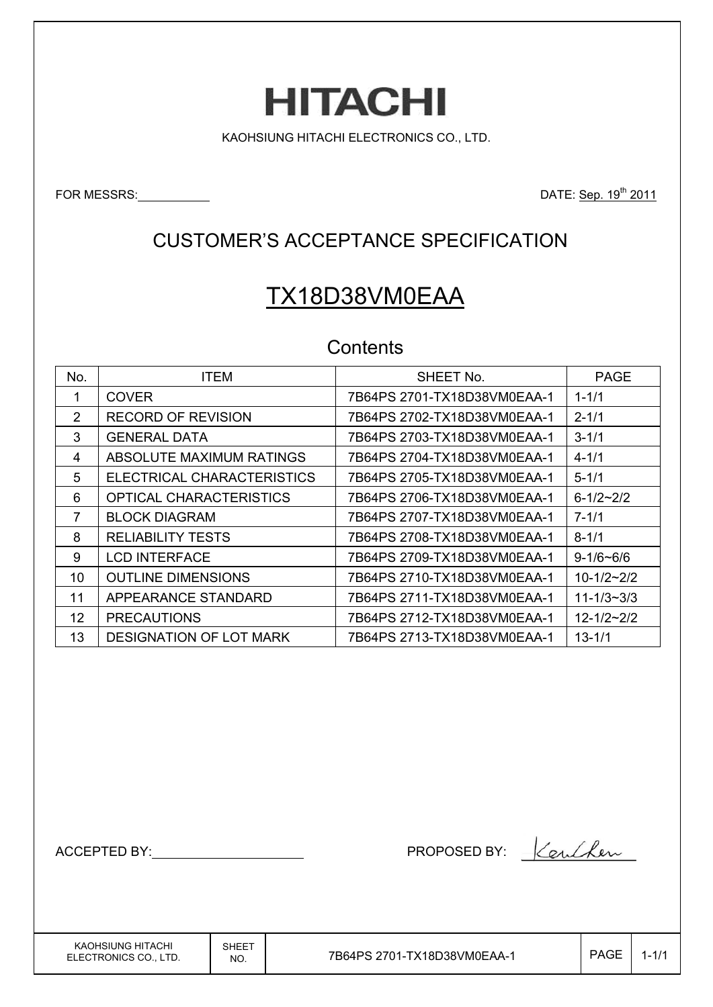# **HITACHI**

KAOHSIUNG HITACHI ELECTRONICS CO., LTD.

FOR MESSRS: No. 2011

# CUSTOMER'S ACCEPTANCE SPECIFICATION

# TX18D38VM0EAA

### **Contents**

| No.               | <b>ITEM</b>                    | SHEET No.                   | <b>PAGE</b>      |
|-------------------|--------------------------------|-----------------------------|------------------|
|                   | <b>COVER</b>                   | 7B64PS 2701-TX18D38VM0EAA-1 | $1 - 1/1$        |
| 2                 | <b>RECORD OF REVISION</b>      |                             | $2 - 1/1$        |
| 3                 | <b>GENERAL DATA</b>            | 7B64PS 2703-TX18D38VM0EAA-1 | $3 - 1/1$        |
| 4                 | ABSOLUTE MAXIMUM RATINGS       |                             | $4 - 1/1$        |
| 5                 | ELECTRICAL CHARACTERISTICS     |                             | $5 - 1/1$        |
| 6                 | <b>OPTICAL CHARACTERISTICS</b> |                             | $6 - 1/2 - 2/2$  |
| $\overline{7}$    | <b>BLOCK DIAGRAM</b>           |                             | $7 - 1/1$        |
| 8                 | <b>RELIABILITY TESTS</b>       |                             | $8 - 1/1$        |
| 9                 | <b>LCD INTERFACE</b>           | 7B64PS 2709-TX18D38VM0EAA-1 | $9 - 1/6 - 6/6$  |
| 10                | <b>OUTLINE DIMENSIONS</b>      | 7B64PS 2710-TX18D38VM0EAA-1 | $10 - 1/2 - 2/2$ |
| 11                | APPEARANCE STANDARD            | 7B64PS 2711-TX18D38VM0EAA-1 | $11 - 1/3 - 3/3$ |
| $12 \overline{ }$ | <b>PRECAUTIONS</b>             | 7B64PS 2712-TX18D38VM0EAA-1 | $12 - 1/2 - 2/2$ |
| 13                | <b>DESIGNATION OF LOT MARK</b> | 7B64PS 2713-TX18D38VM0EAA-1 | $13 - 1/1$       |

ACCEPTED BY: NET ACCEPTED BY: 1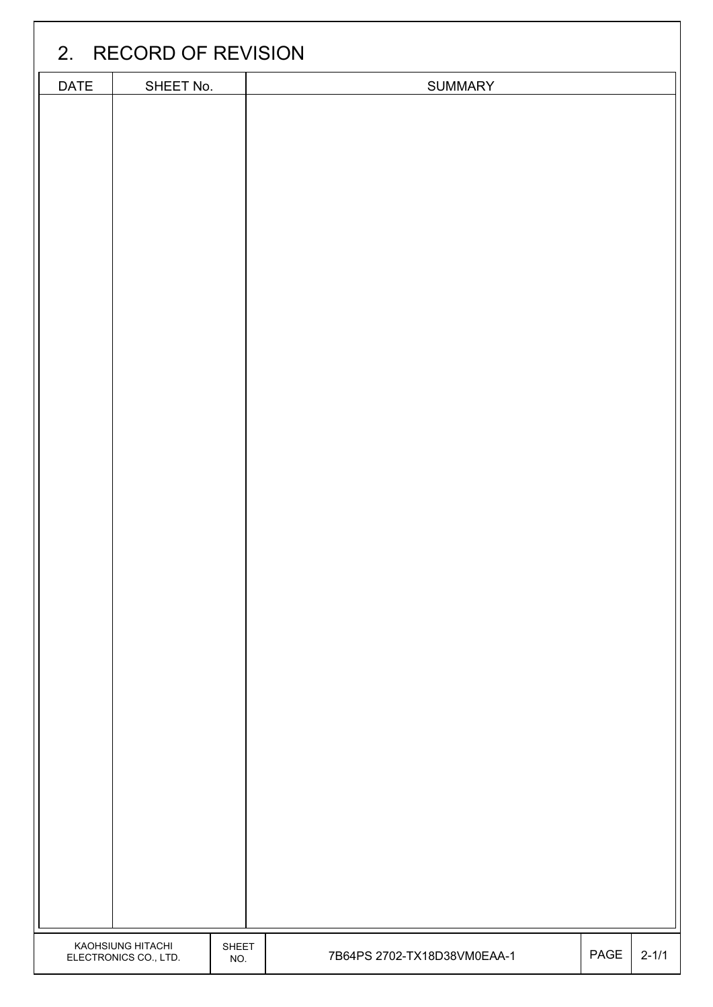|      | 2. RECORD OF REVISION                      |              |                             |      |           |  |  |  |  |  |
|------|--------------------------------------------|--------------|-----------------------------|------|-----------|--|--|--|--|--|
| DATE | SHEET No.                                  |              | <b>SUMMARY</b>              |      |           |  |  |  |  |  |
|      |                                            |              |                             |      |           |  |  |  |  |  |
|      |                                            |              |                             |      |           |  |  |  |  |  |
|      |                                            |              |                             |      |           |  |  |  |  |  |
|      |                                            |              |                             |      |           |  |  |  |  |  |
|      |                                            |              |                             |      |           |  |  |  |  |  |
|      |                                            |              |                             |      |           |  |  |  |  |  |
|      |                                            |              |                             |      |           |  |  |  |  |  |
|      |                                            |              |                             |      |           |  |  |  |  |  |
|      |                                            |              |                             |      |           |  |  |  |  |  |
|      |                                            |              |                             |      |           |  |  |  |  |  |
|      |                                            |              |                             |      |           |  |  |  |  |  |
|      |                                            |              |                             |      |           |  |  |  |  |  |
|      |                                            |              |                             |      |           |  |  |  |  |  |
|      |                                            |              |                             |      |           |  |  |  |  |  |
|      |                                            |              |                             |      |           |  |  |  |  |  |
|      |                                            |              |                             |      |           |  |  |  |  |  |
|      |                                            |              |                             |      |           |  |  |  |  |  |
|      |                                            |              |                             |      |           |  |  |  |  |  |
|      |                                            |              |                             |      |           |  |  |  |  |  |
|      |                                            |              |                             |      |           |  |  |  |  |  |
|      |                                            |              |                             |      |           |  |  |  |  |  |
|      |                                            |              |                             |      |           |  |  |  |  |  |
|      |                                            |              |                             |      |           |  |  |  |  |  |
|      |                                            |              |                             |      |           |  |  |  |  |  |
|      |                                            |              |                             |      |           |  |  |  |  |  |
|      |                                            |              |                             |      |           |  |  |  |  |  |
|      |                                            |              |                             |      |           |  |  |  |  |  |
|      |                                            |              |                             |      |           |  |  |  |  |  |
|      |                                            |              |                             |      |           |  |  |  |  |  |
|      |                                            |              |                             |      |           |  |  |  |  |  |
|      |                                            |              |                             |      |           |  |  |  |  |  |
|      |                                            |              |                             |      |           |  |  |  |  |  |
|      | KAOHSIUNG HITACHI<br>ELECTRONICS CO., LTD. | SHEET<br>NO. | 7B64PS 2702-TX18D38VM0EAA-1 | PAGE | $2 - 1/1$ |  |  |  |  |  |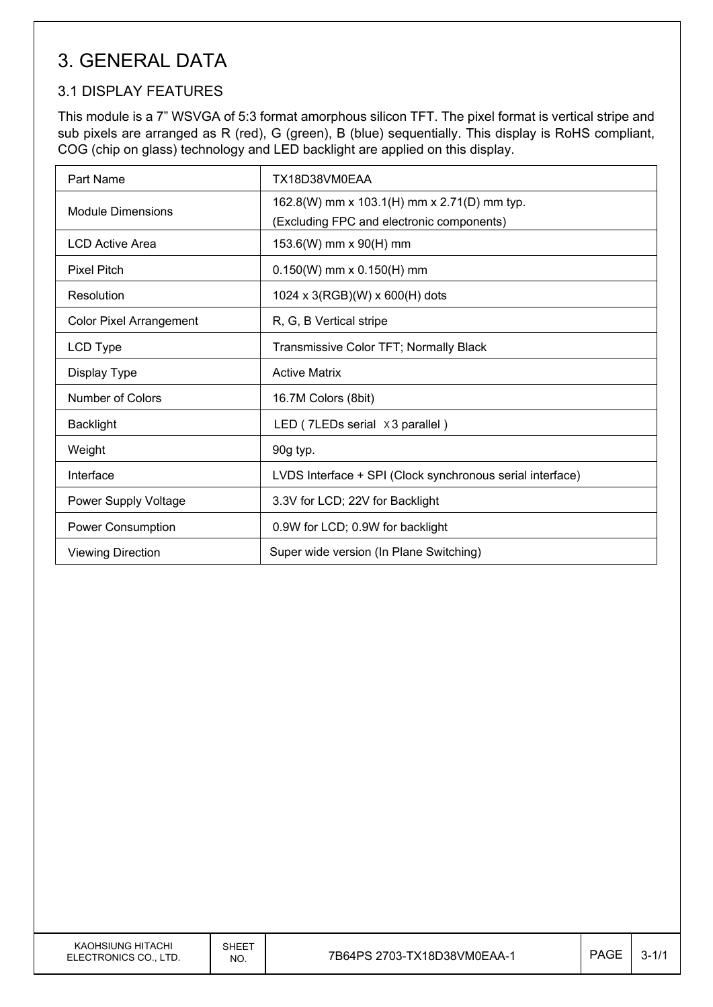# 3. GENERAL DATA

### 3.1 DISPLAY FEATURES

This module is a 7" WSVGA of 5:3 format amorphous silicon TFT. The pixel format is vertical stripe and sub pixels are arranged as R (red), G (green), B (blue) sequentially. This display is RoHS compliant, COG (chip on glass) technology and LED backlight are applied on this display.

| Part Name                      | TX18D38VM0EAA                                             |  |  |  |  |
|--------------------------------|-----------------------------------------------------------|--|--|--|--|
| <b>Module Dimensions</b>       | 162.8(W) mm x 103.1(H) mm x 2.71(D) mm typ.               |  |  |  |  |
|                                | (Excluding FPC and electronic components)                 |  |  |  |  |
| LCD Active Area                | 153.6(W) mm x 90(H) mm                                    |  |  |  |  |
| <b>Pixel Pitch</b>             | $0.150(W)$ mm x $0.150(H)$ mm                             |  |  |  |  |
| Resolution                     | 1024 x 3(RGB)(W) x 600(H) dots                            |  |  |  |  |
| <b>Color Pixel Arrangement</b> | R, G, B Vertical stripe                                   |  |  |  |  |
| LCD Type                       | Transmissive Color TFT; Normally Black                    |  |  |  |  |
| Display Type                   | <b>Active Matrix</b>                                      |  |  |  |  |
| <b>Number of Colors</b>        | 16.7M Colors (8bit)                                       |  |  |  |  |
| <b>Backlight</b>               | LED (7LEDs serial ×3 parallel)                            |  |  |  |  |
| Weight                         | 90g typ.                                                  |  |  |  |  |
| Interface                      | LVDS Interface + SPI (Clock synchronous serial interface) |  |  |  |  |
| Power Supply Voltage           | 3.3V for LCD; 22V for Backlight                           |  |  |  |  |
| Power Consumption              | 0.9W for LCD; 0.9W for backlight                          |  |  |  |  |
| <b>Viewing Direction</b>       | Super wide version (In Plane Switching)                   |  |  |  |  |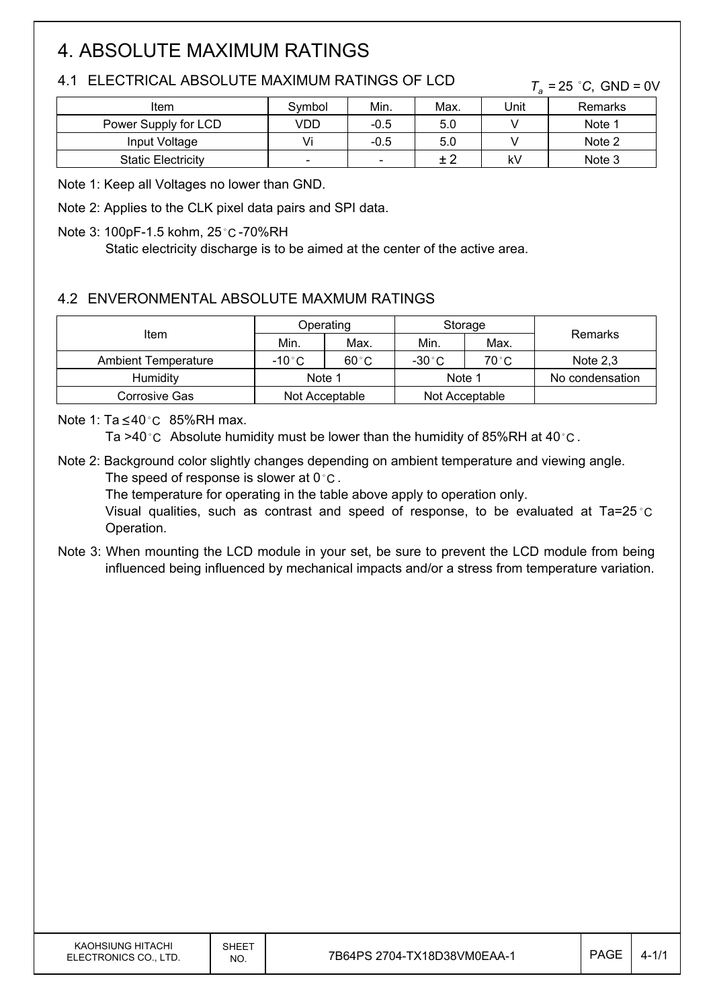# 4. ABSOLUTE MAXIMUM RATINGS

### 4.1 ELECTRICAL ABSOLUTE MAXIMUM RATINGS OF LCD

 $T_a = 25$  °C, GND = 0V

| Item                      | Symbol                   | Min.   | Max. | Unit | Remarks |
|---------------------------|--------------------------|--------|------|------|---------|
| Power Supply for LCD      | VDD                      | $-0.5$ | 5.0  |      | Note 1  |
| Input Voltage             |                          | $-0.5$ | 5.0  |      | Note 2  |
| <b>Static Electricity</b> | $\overline{\phantom{0}}$ | -      | ± 2  | k٧   | Note 3  |

Note 1: Keep all Voltages no lower than GND.

Note 2: Applies to the CLK pixel data pairs and SPI data.

#### Note 3: 100pF-1.5 kohm, 25 °C -70%RH

Static electricity discharge is to be aimed at the center of the active area.

### 4.2 ENVERONMENTAL ABSOLUTE MAXMUM RATINGS

|                            | Operating      |                |                | Storage |                 |  |
|----------------------------|----------------|----------------|----------------|---------|-----------------|--|
| Item                       | Min.           | Max.           | Min.           | Max.    | Remarks         |  |
| <b>Ambient Temperature</b> | $-10\degree$ C | $60^{\circ}$ C | $-30\degree$ C | 70 °C   | Note $2.3$      |  |
| <b>Humidity</b>            | Note 1         |                | Note 1         |         | No condensation |  |
| Corrosive Gas              | Not Acceptable |                | Not Acceptable |         |                 |  |

Note 1:  $Ta \leq 40^{\circ}C$  85%RH max.

Ta >40 °C Absolute humidity must be lower than the humidity of 85%RH at 40 °C.

Note 2: Background color slightly changes depending on ambient temperature and viewing angle. The speed of response is slower at  $0^{\circ}$ C.

The temperature for operating in the table above apply to operation only.

Visual qualities, such as contrast and speed of response, to be evaluated at  $Ta=25^{\circ}C$ Operation.

Note 3: When mounting the LCD module in your set, be sure to prevent the LCD module from being influenced being influenced by mechanical impacts and/or a stress from temperature variation.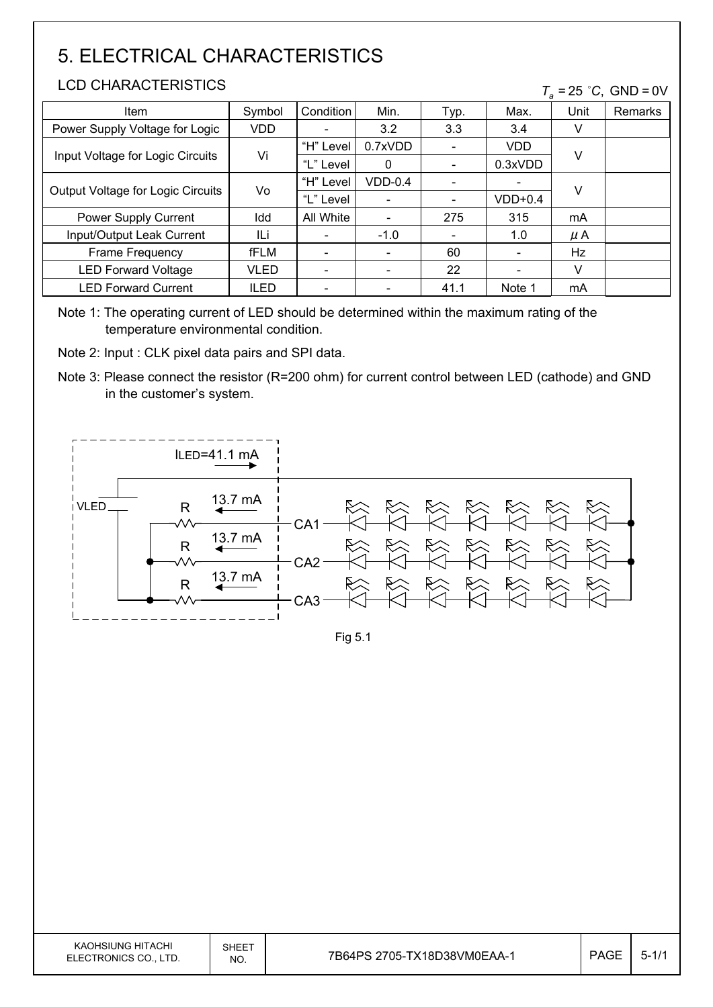# 5. ELECTRICAL CHARACTERISTICS

#### LCD CHARACTERISTICS

#### $T_a = 25$  °C, GND = 0V

| <b>Item</b>                       | Symbol      | Condition | Min.                     | Typ. | Max.                     | Unit    | Remarks |
|-----------------------------------|-------------|-----------|--------------------------|------|--------------------------|---------|---------|
| Power Supply Voltage for Logic    | <b>VDD</b>  |           | 3.2                      | 3.3  | 3.4                      | V       |         |
|                                   |             | "H" Level | 0.7xVDD                  |      | VDD                      |         |         |
| Input Voltage for Logic Circuits  | Vi          | "L" Level | 0                        |      | 0.3xVDD                  | V       |         |
|                                   | Vo          | "H" Level | $VDD-0.4$                |      | $\overline{\phantom{a}}$ | $\vee$  |         |
| Output Voltage for Logic Circuits |             | "L" Level |                          |      | $VDD+0.4$                |         |         |
| Power Supply Current              | Idd         | All White | $\overline{\phantom{0}}$ | 275  | 315                      | mA      |         |
| Input/Output Leak Current         | ILi         |           | $-1.0$                   |      | 1.0                      | $\mu$ A |         |
| Frame Frequency                   | fFLM        |           |                          | 60   | $\overline{\phantom{a}}$ | Hz      |         |
| <b>LED Forward Voltage</b>        | VLED        |           |                          | 22   | $\overline{\phantom{a}}$ | V       |         |
| <b>LED Forward Current</b>        | <b>ILED</b> |           |                          | 41.1 | Note 1                   | mA      |         |

Note 1: The operating current of LED should be determined within the maximum rating of the temperature environmental condition.

Note 2: Input : CLK pixel data pairs and SPI data.

Note 3: Please connect the resistor (R=200 ohm) for current control between LED (cathode) and GND in the customer's system.



Fig 5.1

| KAOHSIUNG HITACHI<br>ELECTRONICS CO., LTD. | SHEET<br>NO. | 7B64PS 2705-TX18D38VM0EAA-1 | <b>PAGE</b> | .ს |
|--------------------------------------------|--------------|-----------------------------|-------------|----|
|--------------------------------------------|--------------|-----------------------------|-------------|----|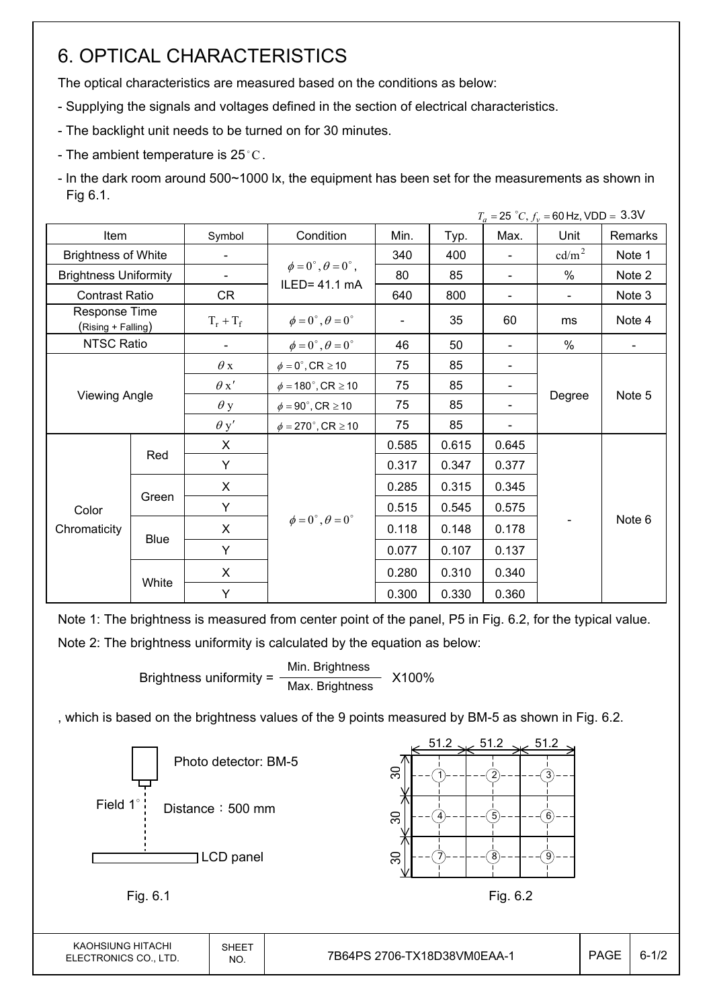# 6. OPTICAL CHARACTERISTICS

The optical characteristics are measured based on the conditions as below:

- Supplying the signals and voltages defined in the section of electrical characteristics.
- The backlight unit needs to be turned on for 30 minutes.
- The ambient temperature is 25 $^{\circ}$ C.
- In the dark room around 500~1000 lx, the equipment has been set for the measurements as shown in Fig 6.1.

|                                     |                      |             |                                          |                |       |                | $T_a = 25 °C, f_v = 60 Hz, VDD = 3.3 V$ |         |
|-------------------------------------|----------------------|-------------|------------------------------------------|----------------|-------|----------------|-----------------------------------------|---------|
| Item                                |                      |             | Condition                                | Min.           | Typ.  | Max.           | Unit                                    | Remarks |
| <b>Brightness of White</b>          |                      | -           |                                          | 340            | 400   | $\blacksquare$ | cd/m <sup>2</sup>                       | Note 1  |
| <b>Brightness Uniformity</b>        |                      | -           | $\phi = 0^{\circ}, \theta = 0^{\circ}$ , | 80             | 85    |                | $\%$                                    | Note 2  |
| <b>Contrast Ratio</b>               |                      | CR          | $ILED = 41.1 mA$                         | 640            | 800   |                | $\blacksquare$                          | Note 3  |
| Response Time<br>(Rising + Falling) |                      | $T_r + T_f$ | $\phi = 0^{\circ}, \theta = 0^{\circ}$   | $\blacksquare$ | 35    | 60             | ms                                      | Note 4  |
| NTSC Ratio                          |                      |             | $\phi = 0^{\circ}, \theta = 0^{\circ}$   | 46             | 50    |                | $\%$                                    |         |
|                                     |                      | $\theta$ x  | $\phi = 0^\circ$ , CR $\geq 10$          | 75             | 85    |                |                                         |         |
|                                     |                      | $\theta x'$ | $\phi = 180^\circ$ , CR $\geq 10$        | 75             | 85    |                |                                         |         |
|                                     | <b>Viewing Angle</b> |             | $\phi = 90^\circ$ , CR $\geq 10$         | 75             | 85    |                | Degree                                  | Note 5  |
|                                     |                      | $\theta$ y' | $\phi = 270^\circ$ , CR $\geq 10$        | 75             | 85    |                |                                         |         |
|                                     |                      | X           |                                          | 0.585          | 0.615 | 0.645          |                                         |         |
|                                     | Red                  | Y           |                                          | 0.317          | 0.347 | 0.377          |                                         |         |
|                                     |                      | X           |                                          | 0.285          | 0.315 | 0.345          |                                         |         |
| Color                               | Green                | Y           |                                          | 0.515          | 0.545 | 0.575          |                                         |         |
| Chromaticity                        |                      | X           | $\phi = 0^{\circ}, \theta = 0^{\circ}$   | 0.118          | 0.148 | 0.178          |                                         | Note 6  |
|                                     | <b>Blue</b>          | Y           |                                          | 0.077          | 0.107 | 0.137          |                                         |         |
|                                     |                      | X           |                                          | 0.280          | 0.310 | 0.340          |                                         |         |
|                                     | White                | Y           |                                          | 0.300          | 0.330 | 0.360          |                                         |         |

Note 1: The brightness is measured from center point of the panel, P5 in Fig. 6.2, for the typical value.

Note 2: The brightness uniformity is calculated by the equation as below:

Brightness uniformity =  $\frac{\text{Min.}_{\text{Br}}}{\text{Max.}_{\text{B}}}\frac{1}{\text{Max.}_{\text{B}}}\times 100\%$ Max. Brightness

, which is based on the brightness values of the 9 points measured by BM-5 as shown in Fig. 6.2.

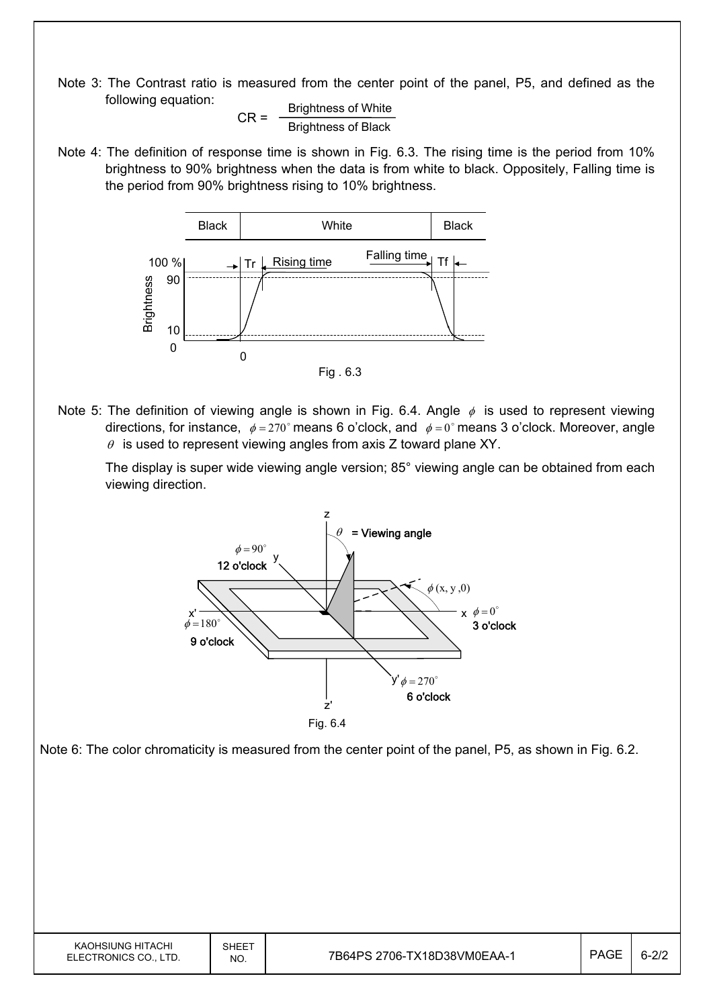Note 3: The Contrast ratio is measured from the center point of the panel, P5, and defined as the following equation:

 $CR =$  Brightness of White Brightness of Black

Note 4: The definition of response time is shown in Fig. 6.3. The rising time is the period from 10% brightness to 90% brightness when the data is from white to black. Oppositely, Falling time is the period from 90% brightness rising to 10% brightness.



Note 5: The definition of viewing angle is shown in Fig. 6.4. Angle  $\phi$  is used to represent viewing directions, for instance,  $\phi = 270^\circ$  means 6 o'clock, and  $\phi = 0^\circ$  means 3 o'clock. Moreover, angle  $\theta$  is used to represent viewing angles from axis Z toward plane XY.

 The display is super wide viewing angle version; 85° viewing angle can be obtained from each viewing direction.



Note 6: The color chromaticity is measured from the center point of the panel, P5, as shown in Fig. 6.2.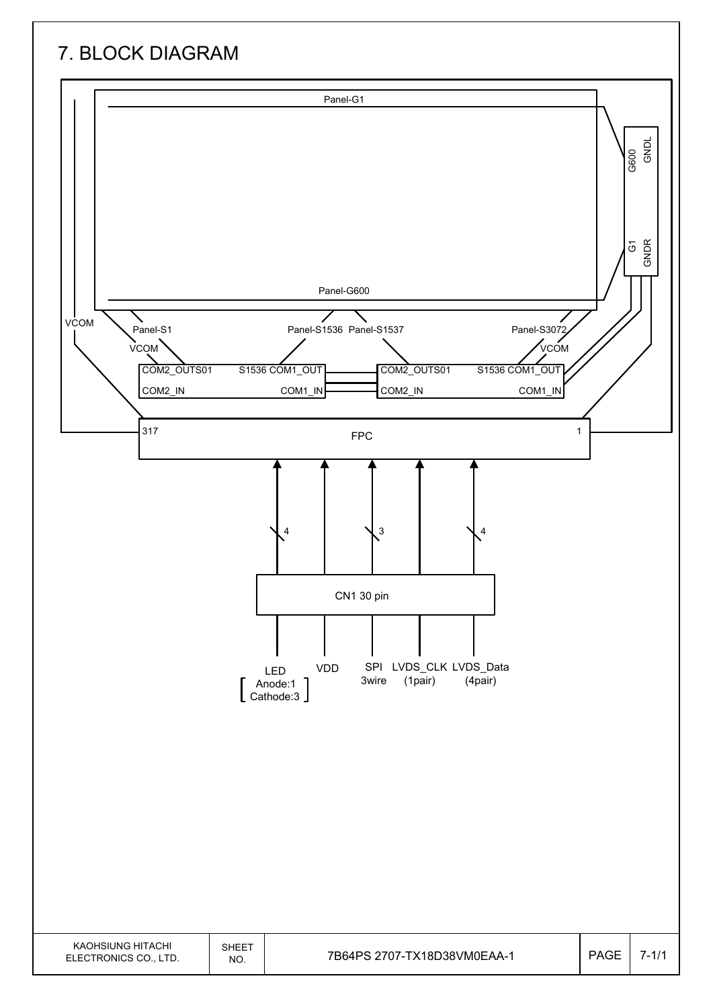# 7. BLOCK DIAGRAM

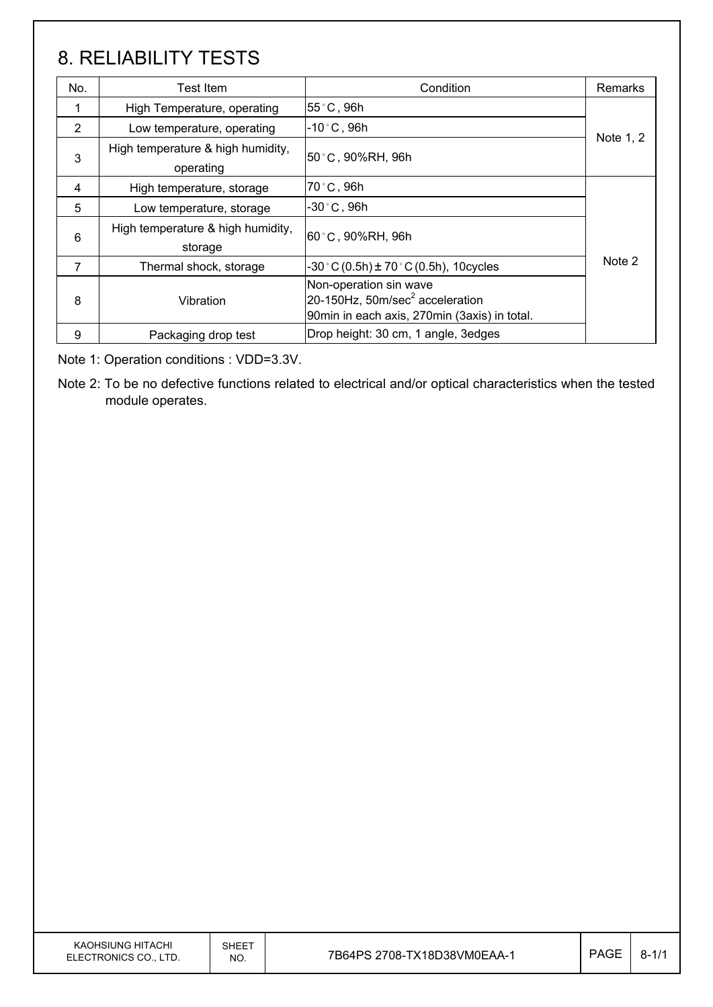# 8. RELIABILITY TESTS

| No. | <b>Test Item</b>                               | Condition                                                                                                             | <b>Remarks</b> |
|-----|------------------------------------------------|-----------------------------------------------------------------------------------------------------------------------|----------------|
| 1   | High Temperature, operating                    | 55°C, 96h                                                                                                             |                |
| 2   | Low temperature, operating                     | $-10^{\circ}$ C, 96h                                                                                                  |                |
| 3   | High temperature & high humidity,<br>operating | 50≗C , 90%RH, 96h                                                                                                     | Note 1, 2      |
| 4   | High temperature, storage                      | 70°C, 96h                                                                                                             |                |
| 5   | Low temperature, storage                       | $-30\degree$ C, 96h                                                                                                   |                |
| 6   | High temperature & high humidity,<br>storage   | 60°C, 90%RH, 96h                                                                                                      |                |
| 7   | Thermal shock, storage                         | $-30$ °C (0.5h) $\pm$ 70 °C (0.5h), 10 cycles                                                                         | Note 2         |
| 8   | Vibration                                      | Non-operation sin wave<br>20-150Hz, 50m/sec <sup>2</sup> acceleration<br>90min in each axis, 270min (3axis) in total. |                |
| 9   | Packaging drop test                            | Drop height: 30 cm, 1 angle, 3edges                                                                                   |                |

Note 1: Operation conditions : VDD=3.3V.

Note 2: To be no defective functions related to electrical and/or optical characteristics when the tested module operates.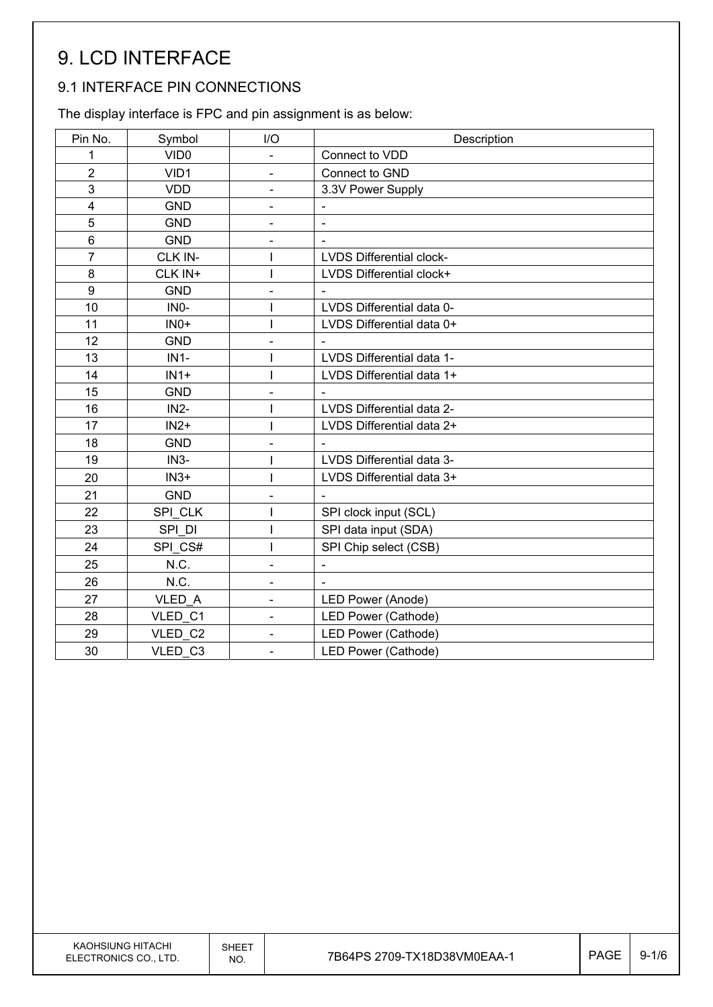# 9. LCD INTERFACE

### 9.1 INTERFACE PIN CONNECTIONS

The display interface is FPC and pin assignment is as below:

| Pin No.          | Symbol            | I/O                          | Description                     |
|------------------|-------------------|------------------------------|---------------------------------|
| 1                | VID <sub>0</sub>  | $\overline{\phantom{0}}$     | Connect to VDD                  |
| $\overline{2}$   | VID1              | $\overline{\phantom{0}}$     | Connect to GND                  |
| 3                | <b>VDD</b>        | $\overline{a}$               | 3.3V Power Supply               |
| 4                | <b>GND</b>        | $\overline{\phantom{0}}$     | $\overline{\phantom{a}}$        |
| 5                | <b>GND</b>        |                              | $\blacksquare$                  |
| 6                | <b>GND</b>        | $\qquad \qquad \blacksquare$ | $\blacksquare$                  |
| $\overline{7}$   | CLK IN-           |                              | <b>LVDS Differential clock-</b> |
| 8                | CLK IN+           | I                            | LVDS Differential clock+        |
| $\boldsymbol{9}$ | <b>GND</b>        | $\overline{a}$               |                                 |
| 10               | IN <sub>0</sub> - |                              | LVDS Differential data 0-       |
| 11               | $INO+$            |                              | LVDS Differential data 0+       |
| 12               | <b>GND</b>        | $\overline{\phantom{0}}$     | $\qquad \qquad \blacksquare$    |
| 13               | $IN1-$            |                              | LVDS Differential data 1-       |
| 14               | $IN1+$            | I                            | LVDS Differential data 1+       |
| 15               | <b>GND</b>        | L,                           |                                 |
| 16               | $IN2-$            | I                            | LVDS Differential data 2-       |
| 17               | $IN2+$            |                              | LVDS Differential data 2+       |
| 18               | <b>GND</b>        |                              |                                 |
| 19               | $IN3-$            |                              | LVDS Differential data 3-       |
| 20               | $IN3+$            |                              | LVDS Differential data 3+       |
| 21               | <b>GND</b>        | L,                           | $\blacksquare$                  |
| 22               | SPI CLK           |                              | SPI clock input (SCL)           |
| 23               | SPI DI            |                              | SPI data input (SDA)            |
| 24               | SPI CS#           |                              | SPI Chip select (CSB)           |
| 25               | N.C.              | $\overline{\phantom{0}}$     |                                 |
| 26               | N.C.              | -                            |                                 |
| 27               | VLED A            | $\overline{\phantom{0}}$     | LED Power (Anode)               |
| 28               | VLED C1           | $\overline{\phantom{0}}$     | LED Power (Cathode)             |
| 29               | VLED C2           | $\overline{\phantom{0}}$     | LED Power (Cathode)             |
| 30               | VLED C3           | $\overline{\phantom{0}}$     | LED Power (Cathode)             |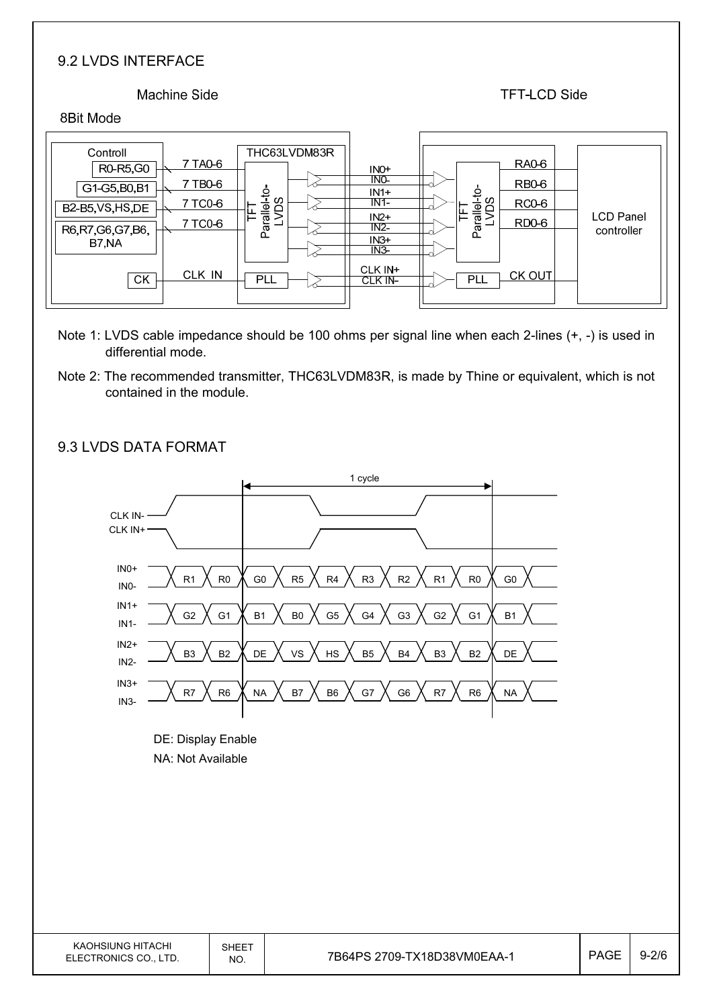#### 9.2 LVDS INTERFACE

#### **Machine Side**

#### **TFT-LCD Side**

#### 8Bit Mode

| THC63LVDM83R        | RA0-6                |
|---------------------|----------------------|
| Controll            | IN <sub>O</sub> +    |
| 7 TA0-6             | INO-                 |
| R0-R5,G0            | <b>RB0-6</b>         |
| 7 TB0-6             | $IN1+$               |
| G1-G5,B0,B1         | Parallel-to-<br>LVDS |
| allel-to            | $IN1-$               |
| ഗ                   | <b>RC0-6</b>         |
| 7 TC0-6             | <b>LCD Panel</b>     |
| B2-B5, VS, HS, DE   | $IN2+$               |
| ⊫                   | RD <sub>0</sub> -6   |
| 7 TC0-6             | $IN2-$               |
| ñд                  | controller           |
| R6, R7, G6, G7, B6, | $IN3+$               |
| B7,NA               | IN <sub>3</sub>      |
| ИС                  | CLK IN+              |
| CLK IN              | CK OUT               |
| <b>CK</b>           | <b>PLL</b>           |
| PLL                 | CLK IN-              |

- Note 1: LVDS cable impedance should be 100 ohms per signal line when each 2-lines (+, -) is used in differential mode.
- Note 2: The recommended transmitter, THC63LVDM83R, is made by Thine or equivalent, which is not contained in the module.



#### 9.3 LVDS DATA FORMAT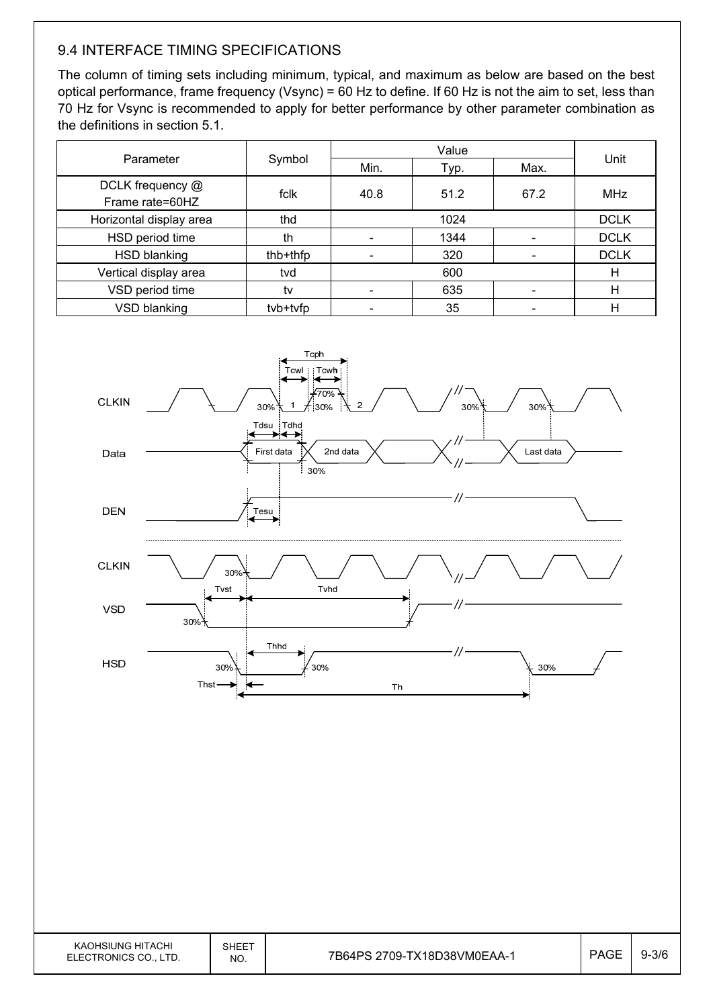### 9.4 INTERFACE TIMING SPECIFICATIONS

The column of timing sets including minimum, typical, and maximum as below are based on the best optical performance, frame frequency (Vsync) = 60 Hz to define. If 60 Hz is not the aim to set, less than 70 Hz for Vsync is recommended to apply for better performance by other parameter combination as the definitions in section 5.1.

| Parameter                           | Symbol   | Min. | Typ. | Max. | Unit        |
|-------------------------------------|----------|------|------|------|-------------|
| DCLK frequency @<br>Frame rate=60HZ | fclk     | 40.8 | 51.2 | 67.2 | MHz         |
| Horizontal display area             | thd      |      | 1024 |      | <b>DCLK</b> |
| HSD period time                     | th       |      | 1344 |      | <b>DCLK</b> |
| HSD blanking                        | thb+thfp |      | 320  |      | <b>DCLK</b> |
| Vertical display area               | tvd      |      | 600  |      | Н           |
| VSD period time                     | tv       |      | 635  |      | н           |
| VSD blanking                        | tvb+tvfp |      | 35   |      | н           |



| KAOHSIUNG HITACHI<br>ELECTRONICS CO., LTD. | <b>SHEET</b><br>NO. | 7B64PS 2709-TX18 |
|--------------------------------------------|---------------------|------------------|
|--------------------------------------------|---------------------|------------------|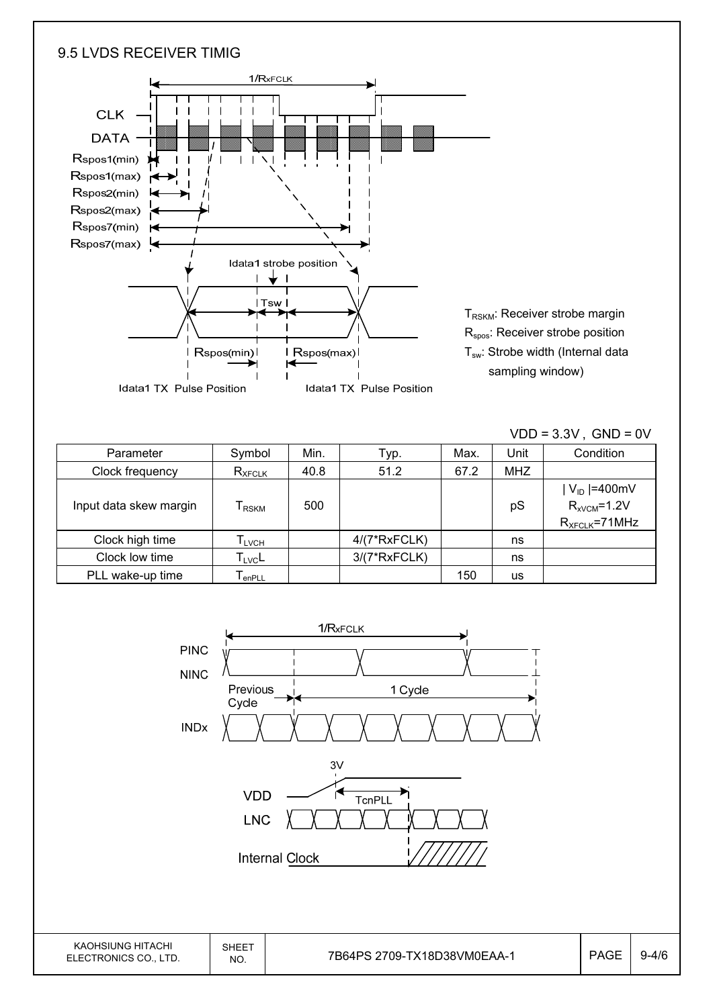#### 9.5 LVDS RECEIVER TIMIG



|                        |                              |      |                |      |            | $VDD = 3.3V$ , $GND = 0V$ |
|------------------------|------------------------------|------|----------------|------|------------|---------------------------|
| Parameter              | Symbol                       | Min. | Tур.           | Max. | Unit       | Condition                 |
| Clock frequency        | $R_{XFCLK}$                  | 40.8 | 51.2           | 67.2 | <b>MHZ</b> |                           |
|                        |                              |      |                |      |            | $ V_{ID} $ =400mV         |
| Input data skew margin | I RSKM                       | 500  |                |      | pS         | $R_{xVCM} = 1.2V$         |
|                        |                              |      |                |      |            | $R_{XFCLK} = 71 MHz$      |
| Clock high time        | $\mathsf{T}_{\mathsf{LVCH}}$ |      | $4/(7*RxFCLK)$ |      | ns         |                           |
| Clock low time         | $T_{\text{LVC}}$ L           |      | $3/(7*RxFCLK)$ |      | ns         |                           |
| PLL wake-up time       | l <sub>enPLL</sub>           |      |                | 150  | <b>us</b>  |                           |

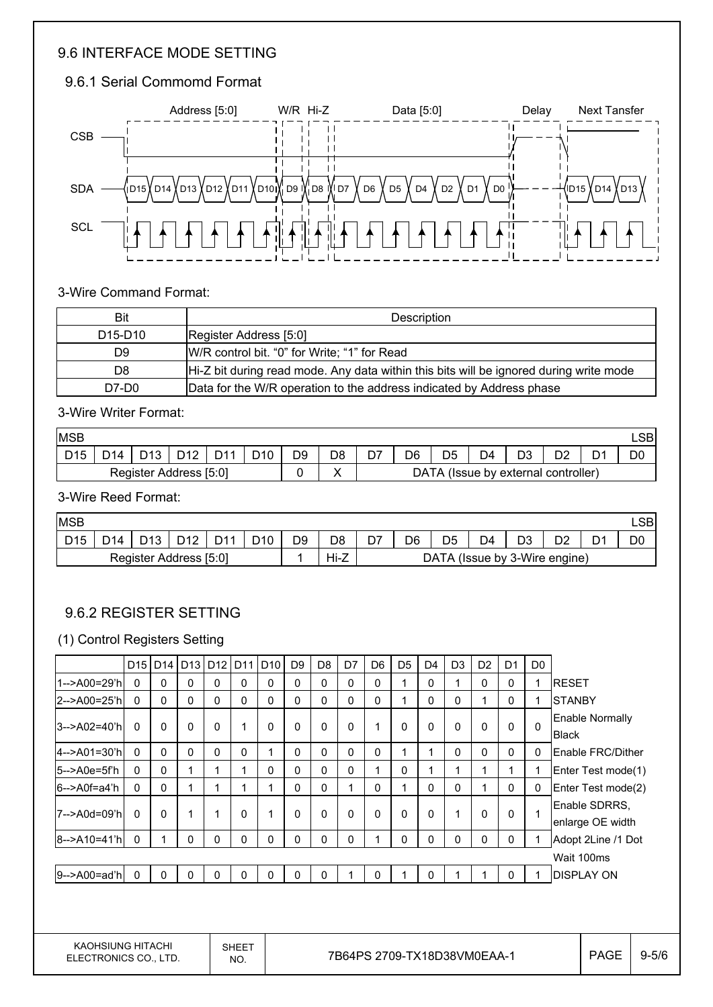#### 9.6 INTERFACE MODE SETTING

### 9.6.1 Serial Commomd Format



#### 3-Wire Command Format:

| Bit                              | Description                                                                            |
|----------------------------------|----------------------------------------------------------------------------------------|
| D <sub>15</sub> -D <sub>10</sub> | Register Address [5:0]                                                                 |
| D9                               | W/R control bit. "0" for Write; "1" for Read                                           |
| D8                               | Hi-Z bit during read mode. Any data within this bits will be ignored during write mode |
| D7-D0                            | Data for the W/R operation to the address indicated by Address phase                   |

#### 3-Wire Writer Format:

| <b>MSB</b>             |     |                 |      |                 |                 |    |    |     |    |                                     |    |    |    | LSBI |
|------------------------|-----|-----------------|------|-----------------|-----------------|----|----|-----|----|-------------------------------------|----|----|----|------|
| D <sub>15</sub>        | D14 | D <sub>13</sub> | n 10 | D <sub>44</sub> | D <sub>10</sub> | D9 | D8 | ו ש | D6 |                                     | D4 | D3 | ◡▵ | DО   |
| Register Address [5:0] |     |                 |      |                 |                 |    |    |     |    | DATA (Issue by external controller) |    |    |    |      |

#### 3-Wire Reed Format:

| <b>MSB</b>             |                 |                        |     |                 |                 |    |                |                               |    |                |    |    |           |   | ∟SBI |
|------------------------|-----------------|------------------------|-----|-----------------|-----------------|----|----------------|-------------------------------|----|----------------|----|----|-----------|---|------|
| D <sub>15</sub>        | D <sub>14</sub> | D <sub>13</sub><br>د ا | n40 | D <sub>11</sub> | D <sub>10</sub> | D9 | D <sub>8</sub> | D7                            | D6 | D <sub>5</sub> | D4 | D3 | no.<br>◡∠ | ◡ | D0   |
| Register Address [5:0] |                 |                        |     |                 |                 |    | Hi-Z           | DATA (Issue by 3-Wire engine) |    |                |    |    |           |   |      |

#### 9.6.2 REGISTER SETTING

#### (1) Control Registers Setting

|                       | D <sub>15</sub> | D <sub>14</sub> | $D13$ D12    |   | D <sub>11</sub> | D <sub>10</sub> | D <sub>9</sub> | D <sub>8</sub> | D7           | D <sub>6</sub> | D <sub>5</sub> | D <sub>4</sub> | D <sub>3</sub> | D <sub>2</sub> | D <sub>1</sub> | D <sub>0</sub> |                                   |
|-----------------------|-----------------|-----------------|--------------|---|-----------------|-----------------|----------------|----------------|--------------|----------------|----------------|----------------|----------------|----------------|----------------|----------------|-----------------------------------|
| 1-->A00=29'hl         | $\Omega$        | $\mathbf{0}$    | 0            | 0 | $\mathbf{0}$    | $\mathbf{0}$    | 0              | 0              | 0            | $\mathbf{0}$   |                | 0              |                | 0              | 0              |                | <b>RESET</b>                      |
| 2-->A00=25'hl         | $\Omega$        | $\mathbf{0}$    | $\mathbf{0}$ | 0 | $\mathbf{0}$    | $\mathbf{0}$    | 0              | 0              | $\mathbf{0}$ | $\mathbf{0}$   |                | 0              | $\Omega$       |                | $\mathbf{0}$   |                | <b>ISTANBY</b>                    |
| 3-->A02=40'h          | $\mathbf{0}$    | $\mathbf{0}$    | $\mathbf{0}$ | 0 |                 | $\Omega$        | 0              | 0              | $\mathbf 0$  | 1              | 0              | 0              | $\Omega$       | $\Omega$       | $\mathbf{0}$   | $\Omega$       | Enable Normally<br><b>Black</b>   |
| $ 4 - > A01 = 30$ 'h  | $\mathbf{0}$    | $\mathbf{0}$    | 0            | 0 | $\mathbf{0}$    | 1               | 0              | 0              | 0            | $\mathbf{0}$   |                | 1              | $\mathbf{0}$   | $\Omega$       | $\mathbf{0}$   | 0              | Enable FRC/Dither                 |
| $5 - \gt{A0e = 5f'h}$ | $\Omega$        | $\Omega$        |              | 1 |                 | $\Omega$        | 0              | 0              | $\mathbf{0}$ |                | 0              | 1              |                |                |                |                | Enter Test mode(1)                |
| 6-->A0f=a4'h          | $\mathbf 0$     | $\mathbf{0}$    |              | 1 |                 | 1               | 0              | $\Omega$       | 1            | $\mathbf{0}$   |                | 0              | $\mathbf{0}$   |                | $\mathbf{0}$   | 0              | Enter Test mode(2)                |
| 7-->A0d=09'h          | 0               | $\mathbf{0}$    |              | 1 | $\Omega$        | 1               | 0              | 0              | $\mathbf 0$  | $\Omega$       | 0              | 0              |                | $\Omega$       | $\mathbf{0}$   |                | Enable SDRRS.<br>enlarge OE width |
| 8-->A10=41'h          | $\Omega$        | 1               | 0            | 0 | $\Omega$        | 0               | 0              | 0              | 0            |                | 0              | 0              | $\Omega$       | $\mathbf{0}$   | $\mathbf{0}$   |                | Adopt 2Line /1 Dot                |
|                       |                 |                 |              |   |                 |                 |                |                |              |                |                |                |                |                |                |                | Wait 100ms                        |
| 9-->A00=ad'h          | $\mathbf 0$     | 0               | $\Omega$     | 0 | $\Omega$        | $\mathbf{0}$    | $\mathbf{0}$   | 0              |              | 0              |                | 0              |                |                | $\mathbf{0}$   |                | <b>DISPLAY ON</b>                 |
|                       |                 |                 |              |   |                 |                 |                |                |              |                |                |                |                |                |                |                |                                   |

KAOHSIUNG HITACHI ELECTRONICS CO., LTD.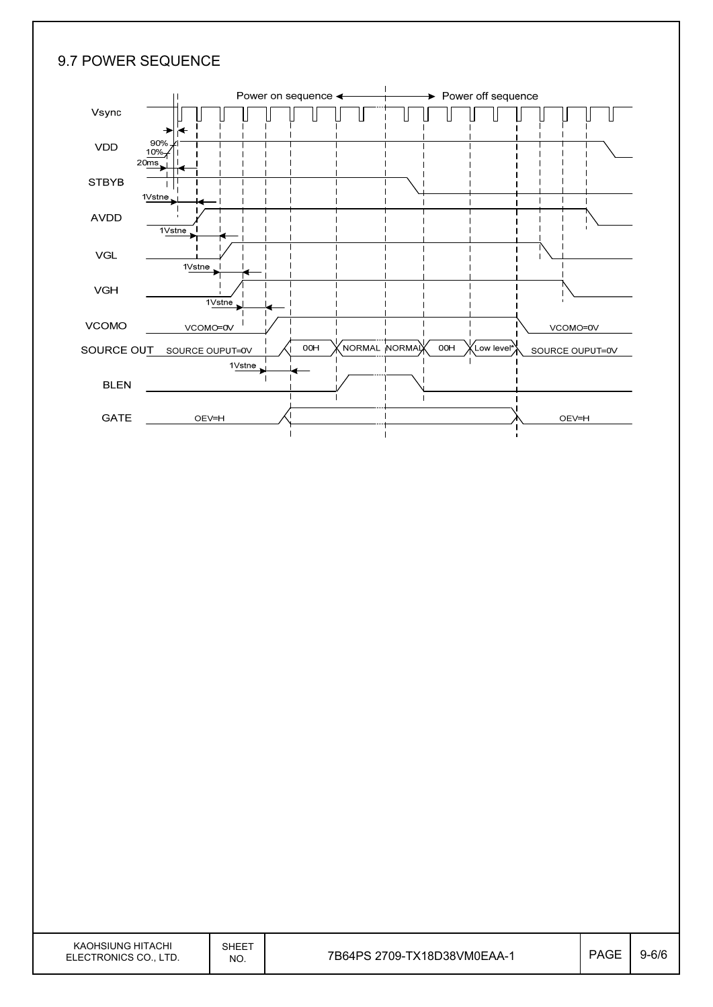### 9.7 POWER SEQUENCE

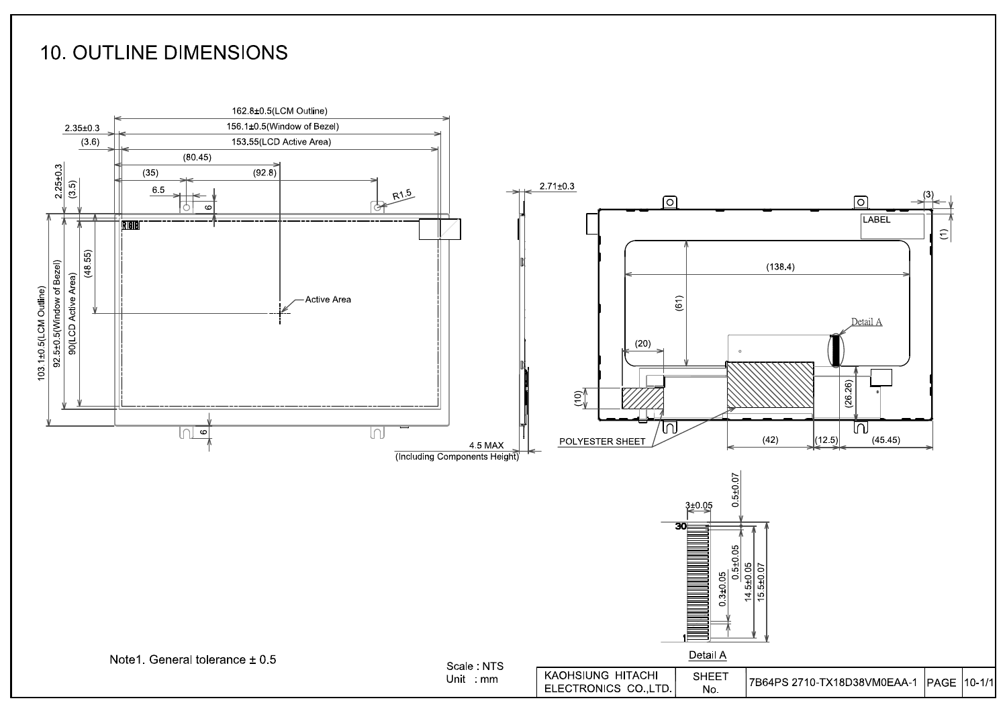# **10. OUTLINE DIMENSIONS**

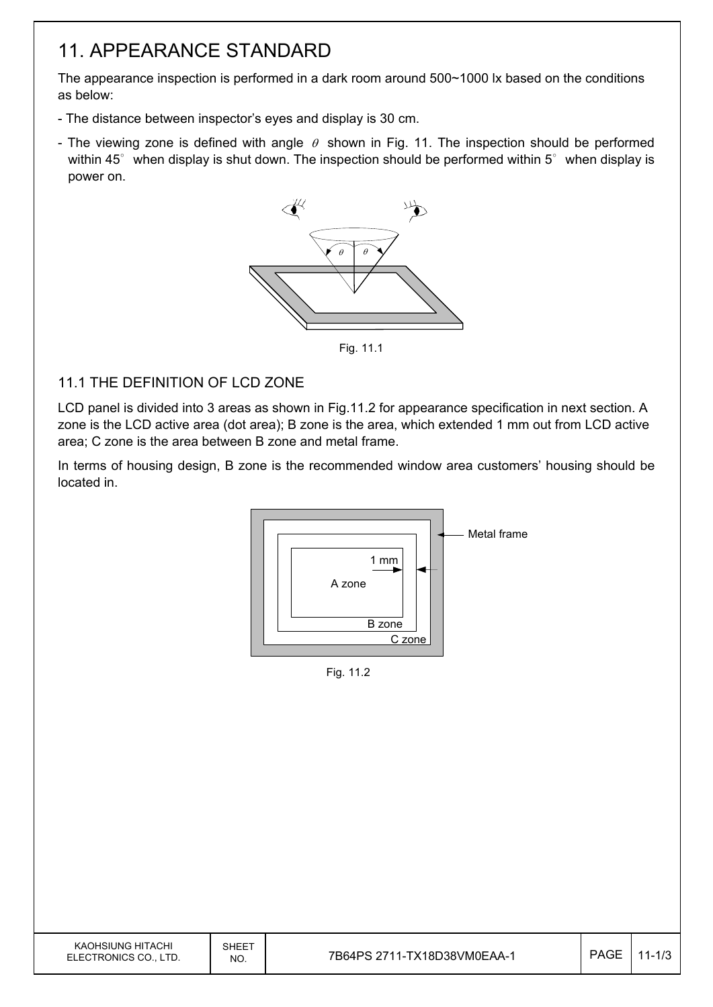# 11. APPEARANCE STANDARD

The appearance inspection is performed in a dark room around 500~1000 lx based on the conditions as below:

- The distance between inspector's eyes and display is 30 cm.
- The viewing zone is defined with angle  $\theta$  shown in Fig. 11. The inspection should be performed within 45 $\degree$  when display is shut down. The inspection should be performed within 5 $\degree$  when display is power on.



Fig. 11.1

### 11.1 THE DEFINITION OF LCD ZONE

LCD panel is divided into 3 areas as shown in Fig.11.2 for appearance specification in next section. A zone is the LCD active area (dot area); B zone is the area, which extended 1 mm out from LCD active area; C zone is the area between B zone and metal frame.

In terms of housing design, B zone is the recommended window area customers' housing should be located in.



Fig. 11.2

| KAOHSIUNG HITACHI<br>SHEET<br><b>PAGE</b><br>7B64PS 2711-TX18D38VM0EAA-1<br>ELECTRONICS CO., LTD.<br>NO. |  |  |       |
|----------------------------------------------------------------------------------------------------------|--|--|-------|
|                                                                                                          |  |  | 1-1/0 |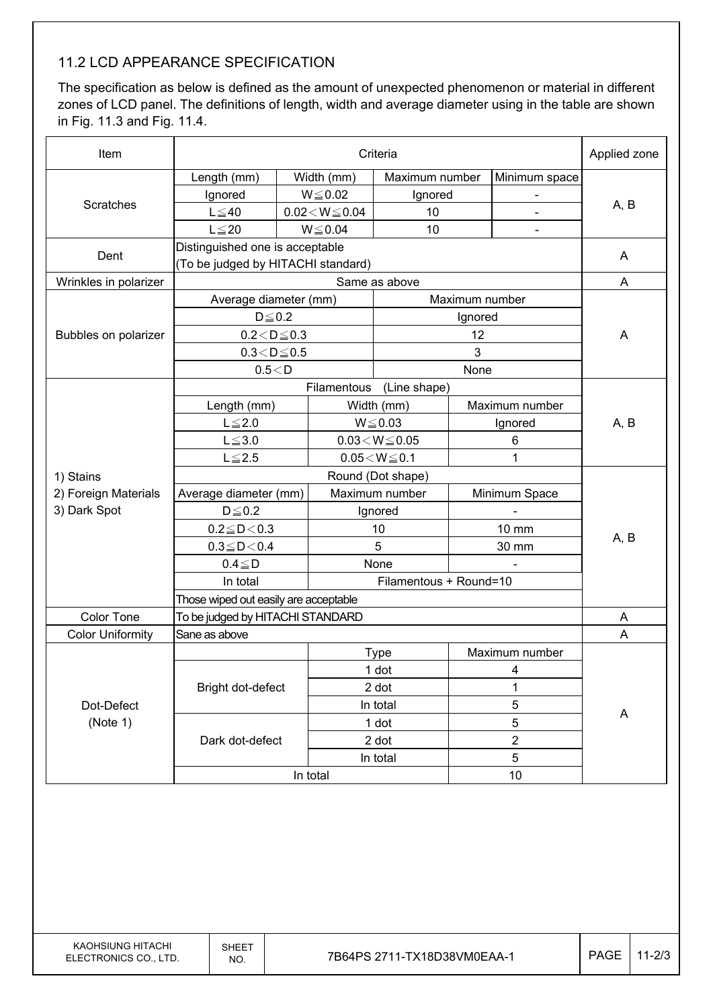### 11.2 LCD APPEARANCE SPECIFICATION

The specification as below is defined as the amount of unexpected phenomenon or material in different zones of LCD panel. The definitions of length, width and average diameter using in the table are shown in Fig. 11.3 and Fig. 11.4.

| Item                    |                                       | Applied zone |                          |                            |                |                |      |  |
|-------------------------|---------------------------------------|--------------|--------------------------|----------------------------|----------------|----------------|------|--|
|                         | Length (mm)                           |              | Width (mm)               | Maximum number             |                | Minimum space  |      |  |
|                         | Ignored                               |              | $W \le 0.02$             | Ignored                    |                |                |      |  |
| Scratches               | $L \leq 40$                           |              | $0.02\!<\!W\!\leq\!0.04$ | 10                         |                |                | A, B |  |
|                         | $L \leq 20$                           |              | $W \le 0.04$             | 10                         |                | $\blacksquare$ |      |  |
|                         | Distinguished one is acceptable       |              |                          |                            |                |                |      |  |
| Dent                    | (To be judged by HITACHI standard)    |              |                          |                            |                |                | A    |  |
| Wrinkles in polarizer   |                                       |              |                          | Same as above              |                |                | A    |  |
|                         | Average diameter (mm)                 |              |                          |                            |                | Maximum number |      |  |
|                         | $D\!\leq\!0.2$                        |              |                          |                            | Ignored        |                |      |  |
| Bubbles on polarizer    | $0.2 < D \leq 0.3$                    |              |                          |                            | 12             |                | A    |  |
|                         | $0.3\!<\!D\!\leq\!0.5$                |              |                          |                            | 3              |                |      |  |
|                         | 0.5 < D                               |              |                          |                            | None           |                |      |  |
|                         |                                       |              | Filamentous              | (Line shape)               |                |                |      |  |
|                         | Length (mm)                           |              |                          | Width (mm)                 |                | Maximum number |      |  |
|                         | $L \leq 2.0$                          |              |                          | $W \le 0.03$               |                | Ignored        | A, B |  |
|                         | $L \le 3.0$                           |              |                          | $0.03\!<\!W\!\!\leq\!0.05$ |                | 6              |      |  |
|                         | $L \leq 2.5$                          |              |                          | $0.05\!<\!W\!\leq\!0.1$    |                | 1              |      |  |
| 1) Stains               |                                       |              |                          | Round (Dot shape)          |                |                |      |  |
| 2) Foreign Materials    | Average diameter (mm)                 |              |                          | Maximum number             |                | Minimum Space  |      |  |
| 3) Dark Spot            | $D \leq 0.2$                          |              |                          | Ignored                    |                |                |      |  |
|                         | $0.2 \leq D < 0.3$                    |              | 10                       |                            |                | <b>10 mm</b>   |      |  |
|                         | $0.3 \leq D < 0.4$                    |              |                          | 5                          |                | 30 mm          | A, B |  |
|                         | $0.4 \leq D$                          |              | None                     |                            |                |                |      |  |
|                         | In total                              |              |                          | Filamentous + Round=10     |                |                |      |  |
|                         | Those wiped out easily are acceptable |              |                          |                            |                |                |      |  |
| <b>Color Tone</b>       | To be judged by HITACHI STANDARD      |              |                          |                            |                |                | A    |  |
| <b>Color Uniformity</b> | Sane as above                         |              |                          |                            |                |                | A    |  |
|                         |                                       |              |                          | <b>Type</b>                |                | Maximum number |      |  |
|                         |                                       |              |                          | 1 dot                      |                | 4              |      |  |
|                         | Bright dot-defect                     |              |                          | 2 dot                      |                | 1              |      |  |
| Dot-Defect              |                                       |              |                          | In total                   |                | $\mathbf 5$    |      |  |
| (Note 1)                |                                       |              |                          | 1 dot                      | $\overline{5}$ |                | A    |  |
|                         | Dark dot-defect                       |              |                          | 2 dot                      |                | $\overline{2}$ |      |  |
|                         |                                       |              |                          | In total                   |                | 5              |      |  |
|                         |                                       |              | In total                 |                            |                | 10             |      |  |
|                         |                                       |              |                          |                            |                |                |      |  |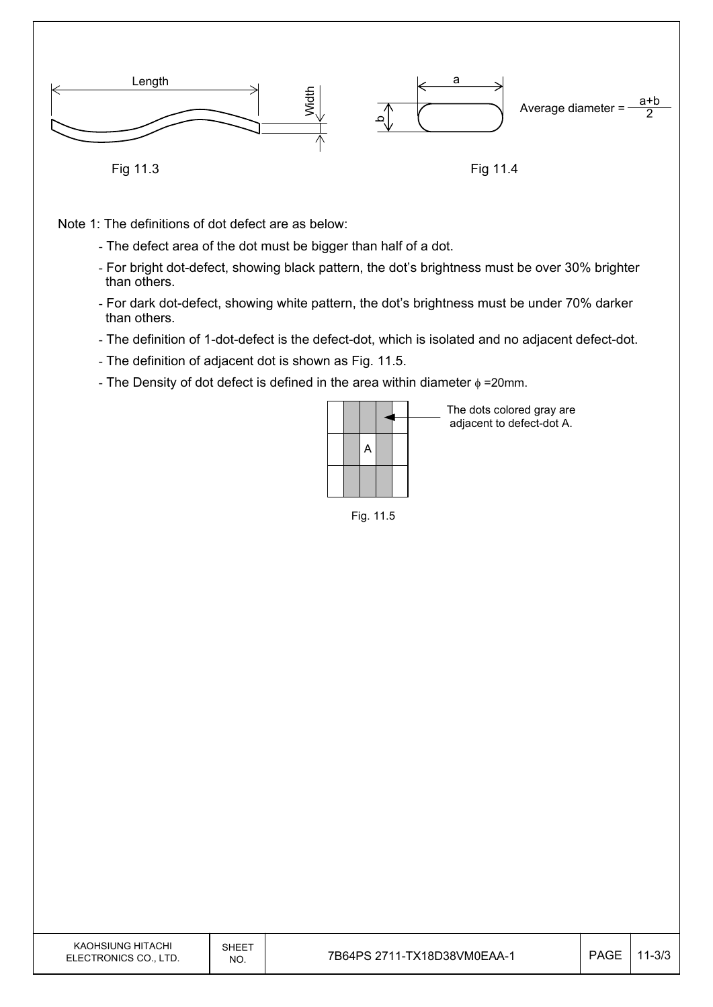

Note 1: The definitions of dot defect are as below:

- The defect area of the dot must be bigger than half of a dot.
- For bright dot-defect, showing black pattern, the dot's brightness must be over 30% brighter than others.
- For dark dot-defect, showing white pattern, the dot's brightness must be under 70% darker than others.
- The definition of 1-dot-defect is the defect-dot, which is isolated and no adjacent defect-dot.
- The definition of adjacent dot is shown as Fig. 11.5.
- The Density of dot defect is defined in the area within diameter  $\phi$  =20mm.

|  |  |  | The dots colored gray are<br>adjacent to defect-dot A. |
|--|--|--|--------------------------------------------------------|
|  |  |  |                                                        |
|  |  |  |                                                        |

Fig. 11.5

| KAOHSIUNG HITACHI<br>ELECTRONICS CO., LTD. | SHEET<br>NO. | 7B64PS 2711-TX18D38VM0EAA-1 | <b>PAGE</b> | $11 - 3/3$ |
|--------------------------------------------|--------------|-----------------------------|-------------|------------|
|--------------------------------------------|--------------|-----------------------------|-------------|------------|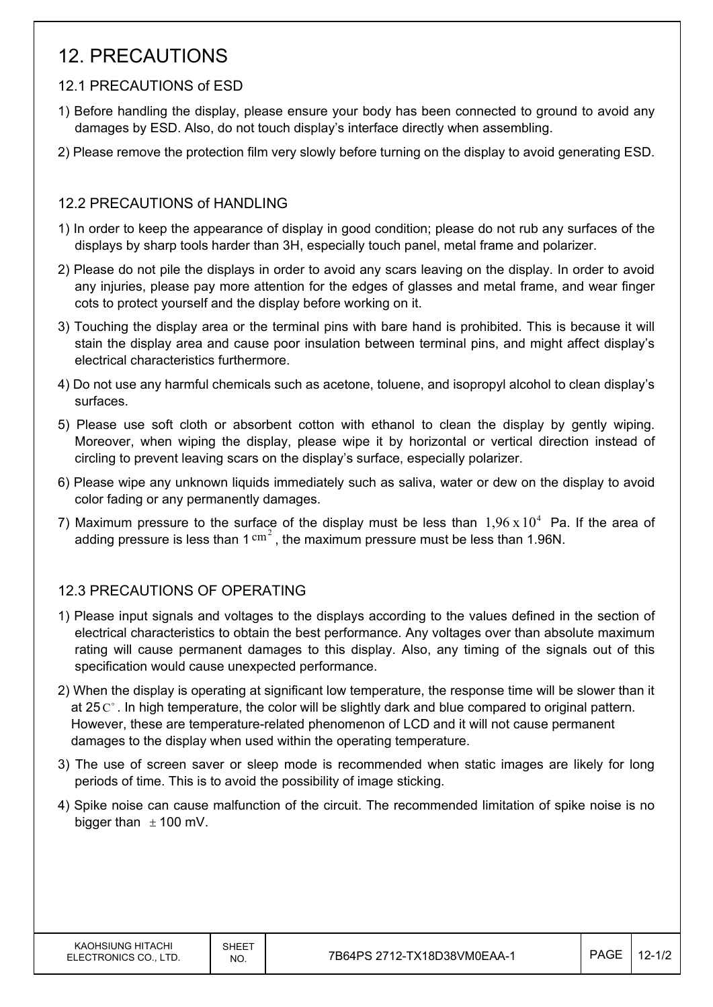# 12. PRECAUTIONS

### 12.1 PRECAUTIONS of ESD

- 1) Before handling the display, please ensure your body has been connected to ground to avoid any damages by ESD. Also, do not touch display's interface directly when assembling.
- 2) Please remove the protection film very slowly before turning on the display to avoid generating ESD.

### 12.2 PRECAUTIONS of HANDLING

- 1) In order to keep the appearance of display in good condition; please do not rub any surfaces of the displays by sharp tools harder than 3H, especially touch panel, metal frame and polarizer.
- 2) Please do not pile the displays in order to avoid any scars leaving on the display. In order to avoid any injuries, please pay more attention for the edges of glasses and metal frame, and wear finger cots to protect yourself and the display before working on it.
- 3) Touching the display area or the terminal pins with bare hand is prohibited. This is because it will stain the display area and cause poor insulation between terminal pins, and might affect display's electrical characteristics furthermore.
- 4) Do not use any harmful chemicals such as acetone, toluene, and isopropyl alcohol to clean display's surfaces.
- 5) Please use soft cloth or absorbent cotton with ethanol to clean the display by gently wiping. Moreover, when wiping the display, please wipe it by horizontal or vertical direction instead of circling to prevent leaving scars on the display's surface, especially polarizer.
- 6) Please wipe any unknown liquids immediately such as saliva, water or dew on the display to avoid color fading or any permanently damages.
- 7) Maximum pressure to the surface of the display must be less than  $1.96 \times 10^4$  Pa. If the area of adding pressure is less than  $1 \text{ cm}^2$ , the maximum pressure must be less than 1.96N.

### 12.3 PRECAUTIONS OF OPERATING

- 1) Please input signals and voltages to the displays according to the values defined in the section of electrical characteristics to obtain the best performance. Any voltages over than absolute maximum rating will cause permanent damages to this display. Also, any timing of the signals out of this specification would cause unexpected performance.
- 2) When the display is operating at significant low temperature, the response time will be slower than it at 25  $\mathrm{C}^{\circ}$ . In high temperature, the color will be slightly dark and blue compared to original pattern. However, these are temperature-related phenomenon of LCD and it will not cause permanent damages to the display when used within the operating temperature.
- 3) The use of screen saver or sleep mode is recommended when static images are likely for long periods of time. This is to avoid the possibility of image sticking.
- 4) Spike noise can cause malfunction of the circuit. The recommended limitation of spike noise is no bigger than  $\pm$  100 mV.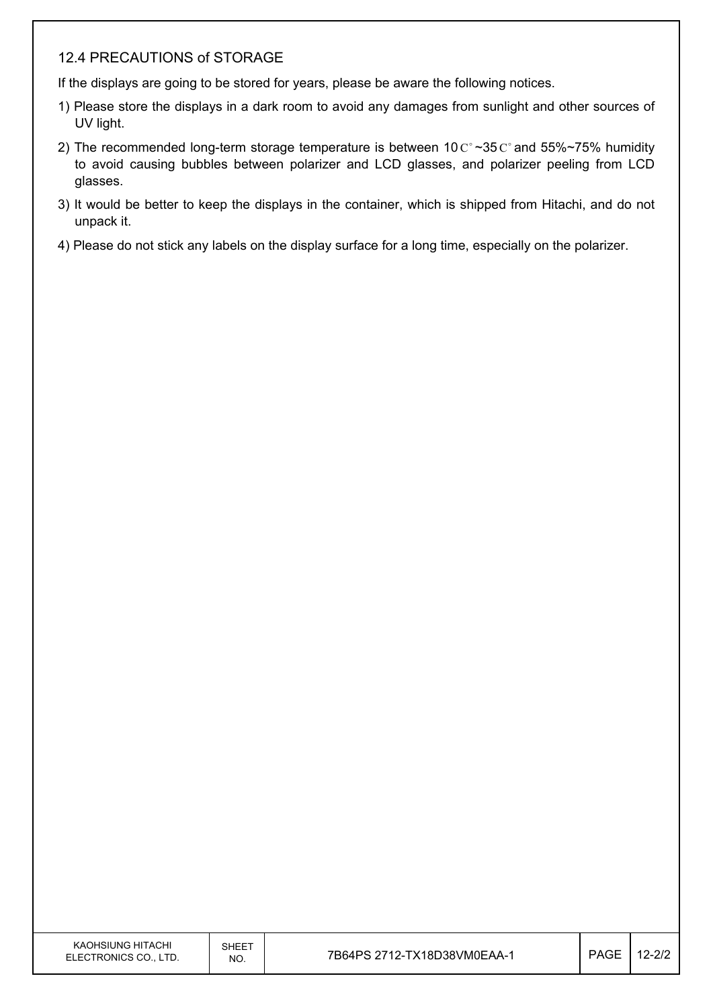#### 12.4 PRECAUTIONS of STORAGE

If the displays are going to be stored for years, please be aware the following notices.

- 1) Please store the displays in a dark room to avoid any damages from sunlight and other sources of UV light.
- 2) The recommended long-term storage temperature is between 10  $C^{\circ}$  ~35  $C^{\circ}$  and 55%~75% humidity to avoid causing bubbles between polarizer and LCD glasses, and polarizer peeling from LCD glasses.
- 3) It would be better to keep the displays in the container, which is shipped from Hitachi, and do not unpack it.
- 4) Please do not stick any labels on the display surface for a long time, especially on the polarizer.